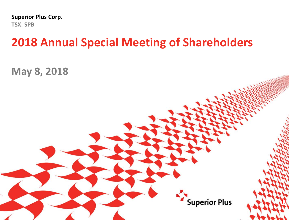## **2018 Annual Special Meeting of Shareholders**

**May 8, 2018**

**Superior Plus**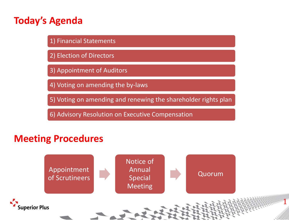#### **Today's Agenda**

1) Financial Statements 2) Election of Directors 3) Appointment of Auditors 4) Voting on amending the by‐laws

5) Voting on amending and renewing the shareholder rights plan

6) Advisory Resolution on Executive Compensation

#### **Meeting Procedures**

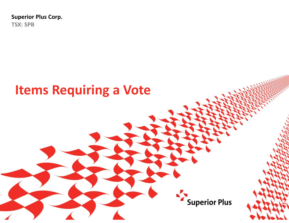# **Items Requiring <sup>a</sup> Vote**

**Superior Plus**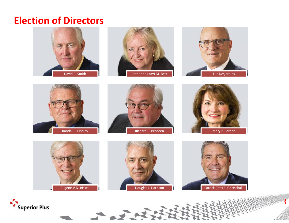#### **Election of Directors**



















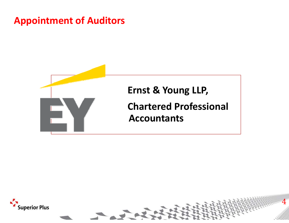## **Appointment of Auditors**



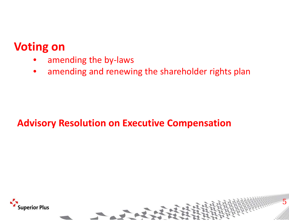## **Voting on**

- •amending the by‐laws
- $\bullet$ amending and renewing the shareholder rights plan

*5*

### **Advisory Resolution on Executive Compensation**

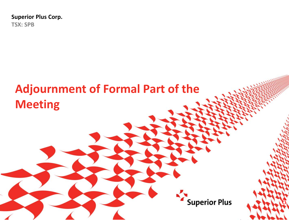# **Adjournment of Formal Part of the Meeting**

**Superior Plus**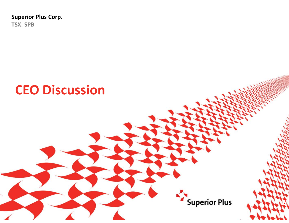# **CEO Discussion**

**Superior Plus**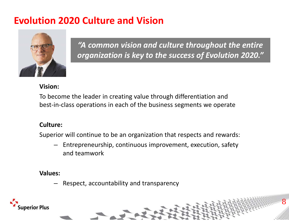## **Evolution 2020 Culture and Vision**



*"A common vision and culture throughout the entire organization is key to the success of Evolution 2020."*

*8*

#### **Vision:**

To become the leader in creating value through differentiation and best‐in‐class operations in each of the business segments we operate

#### **Culture:**

Superior will continue to be an organization that respects and rewards:

– Entrepreneurship, continuous improvement, execution, safety and teamwork

#### **Values:**

Respect, accountability and transparency

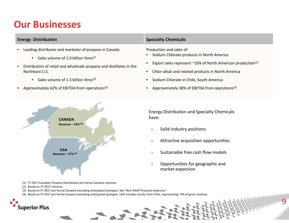## **Our Businesses**

- • Leading distributor and marketer of propane in Canada
	- Sales volume of 2.0 billion litres<sup>(1)</sup>
- • Distribution of retail and wholesale propane and distillates in the Northeast U.S.
	- Sales volume of 1.3 billion litres<sup>(2)</sup>
- •Approximately 62% of EBITDA from operations(3)

# **CANADARevenue – 43% (4) USARevenue – 57% (4)**

#### **Energy** Distribution *Chemicals* **Chemicals Specialty Chemicals**

Production and sales of:

- •**•** Sodium Chlorate products in North America
- •Export sales represent  $\sim$ 16% of North American production<sup>(2)</sup>
- •● Chlor-alkali and related products in North America
- $\bullet$ **•** Sodium Chlorate in Chile, South America
- •Approximately 38% of EBITDA from operations(3)

Energy Distribution and Specialty Chemicals have:

- $\geq$ Solid industry positions
- $\geq$ Attractive acquisition opportunities
- $\rightarrow$ Sustainable free cash flow models
- $\geq$  Opportunities for geographic and market expansion

- (1) FY 2017 Canadian Propane Distribution pro forma Canwest volumes.
- (2) Based on FY 2017 volumes.
- (3) Based on FY 2017 pro forma Canwest excluding anticipated synergies. See "Non‐GAAP financial measures".
- (4) Based on FY 2017 pro forma Canwest excluding anticipated synergies. USA includes results from Chile, representing ~4% of gross revenue.

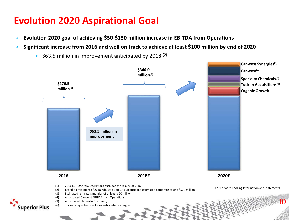## **Evolution 2020 Aspirational Goal**

- >**Evolution 2020 goal of achieving \$50‐\$150 million increase in EBITDA from Operations**
- > **Significant increase from 2016 and well on track to achieve at least \$100 million by end of 2020**
	- $>$  \$63.5 million in improvement anticipated by 2018 (2)

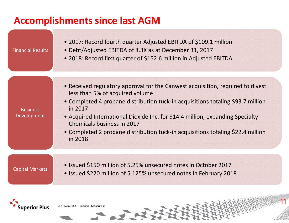## **Accomplishments since last AGM**

![](_page_11_Figure_1.jpeg)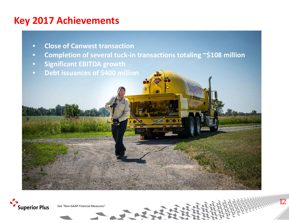## **Key 2017 Achievements**

- •**Close of Canwest transaction**
- •**Completion of several tuck‐in transactions totaling ~\$108 million**

*12*

- $\bullet$ **Significant EBITDA growth**
- $\bullet$ **Debt issuances of \$400 million**

![](_page_12_Picture_5.jpeg)

See "Non‐GAAP Financial Measures".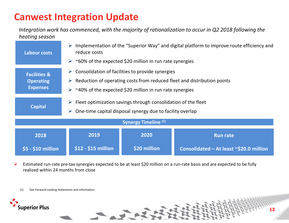## **Canwest Integration Update**

#### *Integration work has commenced, with the majority of rationalization to occur in Q2 2018 following the heating season*

| Labour costs                                                   | Implementation of the "Superior Way" and digital platform to improve route efficiency and<br>reduce costs<br>$\triangleright$ ~60% of the expected \$20 million in run rate synergies                 |              |                                         |  |  |  |
|----------------------------------------------------------------|-------------------------------------------------------------------------------------------------------------------------------------------------------------------------------------------------------|--------------|-----------------------------------------|--|--|--|
| <b>Facilities &amp;</b><br><b>Operating</b><br><b>Expenses</b> | Consolidation of facilities to provide synergies<br>➤<br>Reduction of operating costs from reduced fleet and distribution points<br>➤<br>~40% of the expected \$20 million in run rate synergies<br>➤ |              |                                         |  |  |  |
| <b>Capital</b>                                                 | Fleet optimization savings through consolidation of the fleet<br>➤<br>One-time capital disposal synergy due to facility overlap<br>➤                                                                  |              |                                         |  |  |  |
| <b>Synergy Timeline (1)</b>                                    |                                                                                                                                                                                                       |              |                                         |  |  |  |
| 2018                                                           | 2019                                                                                                                                                                                                  | 2020         | <b>Run rate</b>                         |  |  |  |
| \$5 - \$10 million                                             | \$12 - \$15 million                                                                                                                                                                                   | \$20 million | Consolidated - At least ~\$20.0 million |  |  |  |

➤ Estimated run-rate pre-tax synergies expected to be at least \$20 million on a run-rate basis and are expected to be fully realized within 24 months from close

**13**

(1) See Forward‐Looking Statements and information.

![](_page_13_Picture_5.jpeg)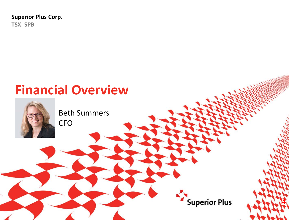# **Financial Overview**

CFO

Beth Summers

![](_page_14_Picture_2.jpeg)

**Superior Plus**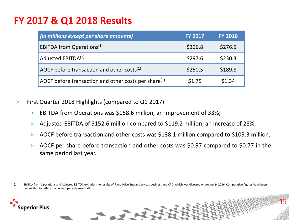## **FY 2017 & Q1 2018 Results**

| (in millions except per share amounts)                           | <b>FY 2017</b> | <b>FY 2016</b> |
|------------------------------------------------------------------|----------------|----------------|
| <b>EBITDA from Operations</b> <sup>(1)</sup>                     | \$306.8        | \$276.5        |
| Adjusted EBITDA <sup>(1)</sup>                                   | \$297.6        | \$230.3        |
| AOCF before transaction and other costs $(1)$                    | \$250.5        | \$189.8        |
| AOCF before transaction and other costs per share <sup>(1)</sup> | \$1.75         | \$1.34         |

- > First Quarter 2018 Highlights (compared to Q1 2017)
	- >EBITDA from Operations was \$158.6 million, an improvement of 33%;
	- >Adjusted EBITDA of \$152.6 million compared to \$119.2 million, an increase of 28%;
	- >AOCF before transaction and other costs was \$138.1 million compared to \$109.3 million;
	- > AOCF per share before transaction and other costs was \$0.97 compared to \$0.77 in the same period last year.

*15*

(1) EBITDA from Operations and Adjusted EBITDA excludes the results of Fixed‐Price Energy Services business and CPD, which was divested on August 9, 2016. Comparative figures have been reclassified to reflect the current period presentation.

![](_page_15_Picture_8.jpeg)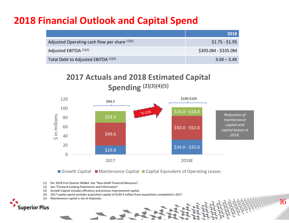## **2018 Financial Outlook and Capital Spend**

|                                               | 2018                |
|-----------------------------------------------|---------------------|
| Adjusted Operating cash flow per share (1)(2) | $$1.75 - $1.95$     |
| Adjusted EBITDA (1)(2)                        | $$305.0M - $335.0M$ |
| Total Debt to Adjusted EBITDA (1)(2)          | $3.0X - 3.4X$       |

**2017 Actuals and 2018 Estimated Capital Spending (2)(3)(4)(5)**

![](_page_16_Figure_3.jpeg)

*16*

Growth Capital **Maintenance Capital D** Capital Equivalent of Operating Leases

- (1) Per 2018 First Quarter MD&A. See "Non‐GAAP Financial Measures".
- (2) See "Forward‐Looking Statements and Information".
- (3) Growth Capital includes efficiency and process improvement capital.
- (4) 2017 capital spend excludes acquisition capital of \$149.3 million from acquisitions completed in 2017.
- (5) Maintenance capital is net of disposals.

![](_page_16_Picture_10.jpeg)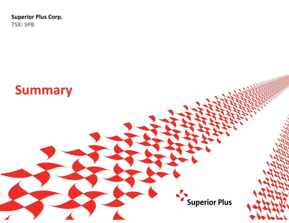# **SummarySuperior Plus** *17*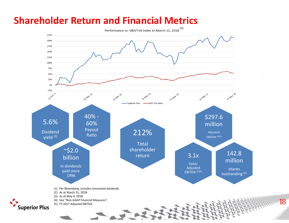#### **Shareholder Return and Financial Metrics**

![](_page_18_Figure_1.jpeg)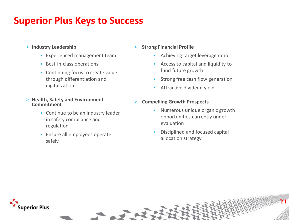## **Superior Plus Keys to Success**

#### > **Industry Leadership Investment**

- Experienced management team
- Best‐in‐class operations
- Continuing focus to create value through differentiation and digitalization
- > **Health, Safety and Environment Commitment**
	- Continue to be an industry leader in safety compliance and regulation
	- Ensure all employees operate safely
- > **Strong Financial Profile**
	- •Achieving target leverage ratio
	- • Access to capital and liquidity to fund future growth
	- $\bullet$ Strong free cash flow generation
	- •Attractive dividend yield
- > **Compelling Growth Prospects**
	- • Numerous unique organic growth opportunities currently under evaluation
	- $\bullet$  Disciplined and focused capital allocation strategy

![](_page_19_Picture_16.jpeg)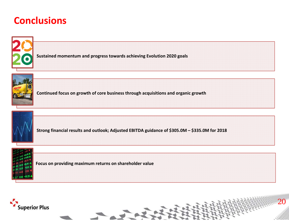## **Conclusions**

![](_page_20_Picture_1.jpeg)

**Sustained momentum and progress towards achieving Evolution 2020 goals**

![](_page_20_Picture_3.jpeg)

**Continued focus on growth of core business through acquisitions and organic growth**

![](_page_20_Picture_5.jpeg)

**Strong financial results and outlook; Adjusted EBITDA guidance of \$305.0M – \$335.0M for 2018**

![](_page_20_Picture_7.jpeg)

**Focus on providing maximum returns on shareholder value**

![](_page_20_Picture_9.jpeg)

![](_page_20_Picture_10.jpeg)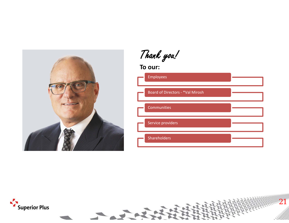![](_page_21_Picture_0.jpeg)

| Thank you! |  |
|------------|--|
|------------|--|

**To our:**

| Employees                               |  |
|-----------------------------------------|--|
| <b>Board of Directors - *Val Mirosh</b> |  |
| <b>Communities</b>                      |  |
| Service providers                       |  |
| <b>Shareholders</b>                     |  |

![](_page_21_Picture_4.jpeg)

![](_page_21_Picture_5.jpeg)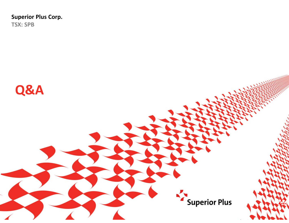**Q&A**

![](_page_22_Picture_1.jpeg)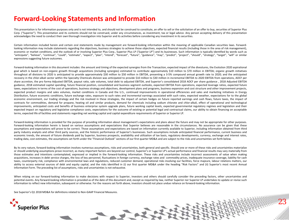#### **Forward‐Looking Statements and Information**

This presentation is for information purposes only and is not intended to, and should not be construed to constitute, an offer to sell or the solicitation of an offer to buy, securities of Superior Plus Corp. ("Superior"). This presentation and its contents should not be construed, under any circumstances, as investment, tax or legal advice. Any person accepting delivery of this presentation acknowledges the need to conduct their own thorough investigation into Superior and its activities before considering any investment in its securities.

Certain information included herein and certain oral statements made by management are forward-looking information within the meaning of applicable Canadian securities laws. Forwardlooking information may include statements regarding the objectives, business strategies to achieve those objectives, expected financial results (including those in the area of risk management), economic or market conditions, and the outlook of or involving Superior Plus Corp., Superior Plus LP ('Superior LP") and its businesses. Such information is typically identified by words such as "anticipate", "believe", "continue", "could", "estimate", "expect", "plan", "intend", "forecast", "future", "guidance", "may", "predict", "project", "should", "strategy", "target", "will" or similar expressions suggesting future outcomes.

Forward-looking information in this document includes: the amount and timing of the expected synergies from the Transaction, expected impact of the divestures, the Evolution 2020 aspirational goal which is based on non-organic growth through acquisitions (including synergies) estimated to contribute approximately \$10 million to \$70 million in EBITDA; organic growth initiatives throughout all divisions to 2020 is anticipated to provide approximately \$30 million to \$50 million in EBITDA, presenting <sup>a</sup> 3‐5% compound annual growth rate to 2020; and the anticipated recovery in the chlor-alkali sector within the Specialty Chemicals division was anticipated to provide \$10 million to \$30 million in incremental EBITDA to 2020 EBITDA from operations, AOCF per share accretion, the pro forma Adjusted EBITDA, payout ratio, sale volumes, total debt to adjusted EBITDA, and Superior's consolidated 2018 AOCF per share guidance , 2018 Adjusted EBITDA guidance, 2018 estimated capital spending, future financial position, consolidated and business segment outlooks, expected EBITDA from operations, expected leverage ratios, expected future taxes, expectations in terms of the cost of operations, business strategy and objectives, development plans and programs, business expansion and cost structure and other improvement projects, expected product margins and sales volumes, market conditions in Canada and the U.S., continued improvements in operational efficiencies and sales and marketing initiatives in Energy Distribution, future economic conditions, future exchange rates, exposure to such rates and incremental earnings associated with such rates, expected weather, expectations for to the global economic environment, our trading strategy and the risk involved in these strategies, the impact of certain hedges on future reported earnings and cash flows, future taxes, the impact of contracts for commodities, demand for propane, heating oil and similar products, demand for chemicals including sodium chlorate and chlor-alkali, effect of operational and technological improvements, anticipated costs and benefits of business enterprise system upgrade plans, future working capital levels, expected governmental regulatory regimes and legislation and their expected impact on regulatory and legislative compliance costs, expectations for the outcome of existing or potential legal and contractual claims, our ability to obtain financing on acceptable terms, expected life of facilities and statements regarding net working capital and capital expenditure requirements of Superior or Superior LP.

Forward-looking information is provided for the purpose of providing information about management's expectations and plans about the future and may not be appropriate for other purposes. Forward-looking information herein is based on various assumptions and expectations that Superior believes are reasonable in the circumstances. No assurance can be given that these assumptions and expectations will prove to be correct. Those assumptions and expectations are based on information currently available to Superior, including information obtained from third party industry analysts and other third party sources, and the historic performance of Superior's businesses. Such assumptions include anticipated financial performance, current business and economic trends, the amount of future dividends paid by Superior, business prospects, availability and utilization of tax basis, regulatory developments, currency, exchange and interest rates, trading data, cost estimates, the assumptions set forth under the "Financial Outlook" sections of our first quarter MD&A and are subject to the risks and uncertainties set forth below.

By its very nature, forward-looking information involves numerous assumptions, risks and uncertainties, both general and specific. Should one or more of these risks and uncertainties materialize or should underlying assumptions prove incorrect, as many important factors are beyond our control, Superior's or Superior LP's actual performance and financial results may vary materially from those estimates and intentions contemplated, expressed or implied in the forward‐looking information. These risks and uncertainties include incorrect assessments of value when making acquisitions, increases in debt service charges, the loss of key personnel, fluctuations in foreign currency, exchange rates and commodity prices, inadequate insurance coverage, liability for cash taxes, counterparty risk, compliance with environmental laws and regulations, reduced customer demand, operational risks involving our facilities, force majeure, labour relations matters, our ability to access external sources of debt and equity capital, and the risks identified in (i) our first quarter MD&A under the heading "Risk Factors" and (ii) Superior's most recent Annual Information Form. The preceding list of assumptions, risks and uncertainties is not exhaustive.

When relying on our forward-looking information to make decisions with respect to Superior, investors and others should carefully consider the preceding factors, other uncertainties and potential events. Any forward-looking information is provided as of the date of this document and, except as required by law, neither Superior nor Superior LP undertakes to update or revise such information to reflect new information, subsequent or otherwise. For the reasons set forth above, investors should not place undue reliance on forward-looking information.

*23*

See Superior's Q1 2018 MD&A for definitions related to Non‐GAAP Financial Measures.

![](_page_23_Picture_8.jpeg)